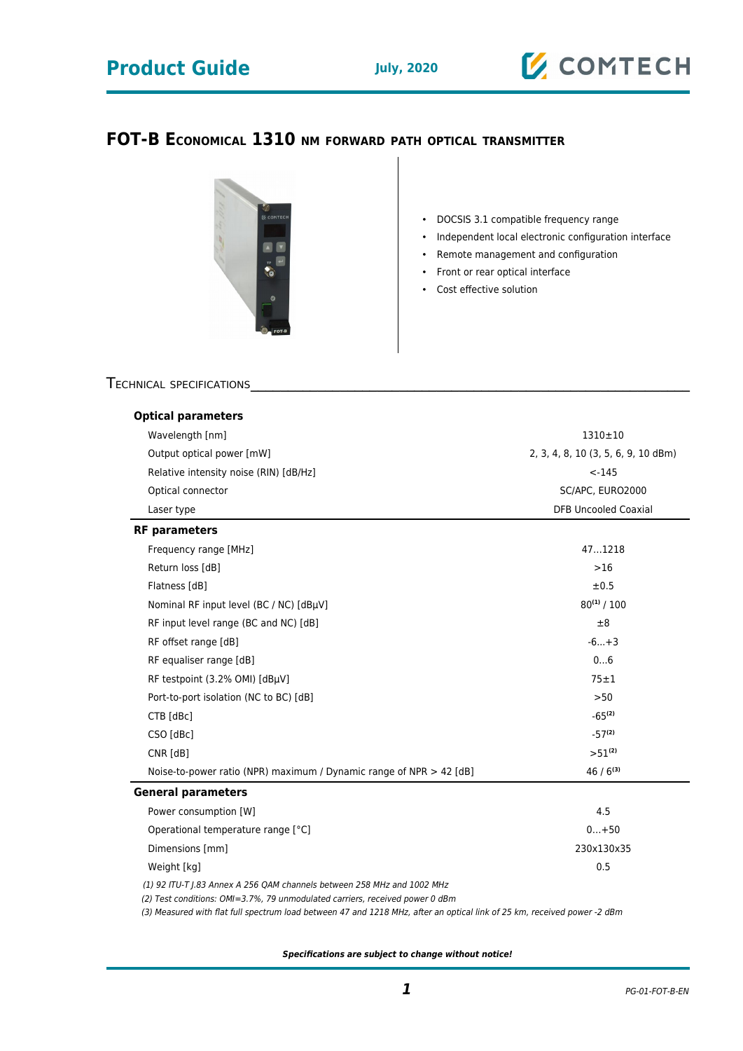# **Product Guide July, 2020**



### **FOT-B ECONOMICAL 1310 NM FORWARD PATH OPTICAL TRANSMITTER**



• DOCSIS 3.1 compatible frequency range

- Independent local electronic configuration interface
- Remote management and configuration
- Front or rear optical interface
- Cost effective solution

### TECHNICAL SPECIFICATIONS

| <b>Optical parameters</b>                                                                                                                               | 1310±10<br>2, 3, 4, 8, 10 (3, 5, 6, 9, 10 dBm)<br>$< -145$<br>SC/APC, EURO2000<br><b>DFB Uncooled Coaxial</b> |                       |        |
|---------------------------------------------------------------------------------------------------------------------------------------------------------|---------------------------------------------------------------------------------------------------------------|-----------------------|--------|
| Wavelength [nm]<br>Output optical power [mW]<br>Relative intensity noise (RIN) [dB/Hz]<br>Optical connector<br>Laser type                               |                                                                                                               |                       |        |
|                                                                                                                                                         |                                                                                                               | <b>RF</b> parameters  |        |
|                                                                                                                                                         |                                                                                                               | Frequency range [MHz] | 471218 |
|                                                                                                                                                         |                                                                                                               | Return loss [dB]      | $>16$  |
|                                                                                                                                                         |                                                                                                               | Flatness [dB]         | ±0.5   |
| Nominal RF input level (BC / NC) [dBµV]                                                                                                                 | $80^{(1)}/100$                                                                                                |                       |        |
| RF input level range (BC and NC) [dB]                                                                                                                   | ±8                                                                                                            |                       |        |
| RF offset range [dB]                                                                                                                                    | $-6+3$                                                                                                        |                       |        |
| RF equaliser range [dB]                                                                                                                                 | 06                                                                                                            |                       |        |
| RF testpoint (3.2% OMI) [dBµV]                                                                                                                          | $75 \pm 1$                                                                                                    |                       |        |
| Port-to-port isolation (NC to BC) [dB]                                                                                                                  | >50                                                                                                           |                       |        |
| CTB [dBc]                                                                                                                                               | $-65^{(2)}$                                                                                                   |                       |        |
| CSO [dBc]                                                                                                                                               | $-57^{(2)}$                                                                                                   |                       |        |
| CNR [dB]                                                                                                                                                | $>51^{(2)}$                                                                                                   |                       |        |
| Noise-to-power ratio (NPR) maximum / Dynamic range of NPR $>$ 42 [dB]                                                                                   | $46/6^{(3)}$                                                                                                  |                       |        |
| <b>General parameters</b>                                                                                                                               |                                                                                                               |                       |        |
| Power consumption [W]                                                                                                                                   | 4.5                                                                                                           |                       |        |
| Operational temperature range [°C]                                                                                                                      | $0+50$                                                                                                        |                       |        |
| Dimensions [mm]                                                                                                                                         | 230x130x35                                                                                                    |                       |        |
| Weight [kg]                                                                                                                                             | 0.5                                                                                                           |                       |        |
| (1) 92 ITU-T J.83 Annex A 256 QAM channels between 258 MHz and 1002 MHz<br>(2) Test conditions: OMI=3.7%, 79 unmodulated carriers, received power 0 dBm |                                                                                                               |                       |        |

(3) Measured with flat full spectrum load between 47 and 1218 MHz, after an optical link of 25 km, received power -2 dBm

**Specifications are subject to change without notice!**